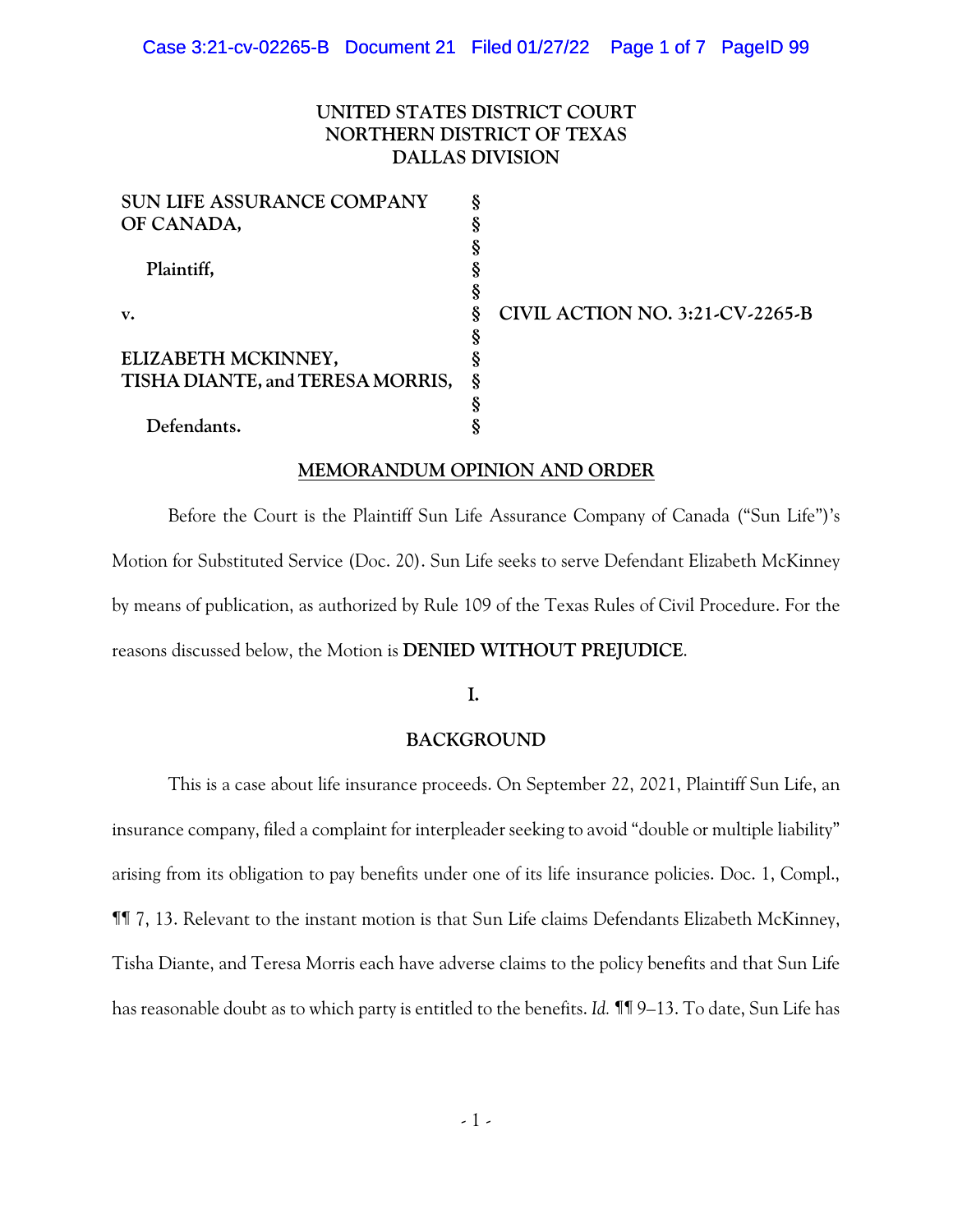# **UNITED STATES DISTRICT COURT NORTHERN DISTRICT OF TEXAS DALLAS DIVISION**

|    | CIVIL ACTION NO. 3:21-CV-2265-B  |
|----|----------------------------------|
|    |                                  |
|    |                                  |
| \, |                                  |
|    |                                  |
|    |                                  |
|    | TISHA DIANTE, and TERESA MORRIS, |

## **MEMORANDUM OPINION AND ORDER**

Before the Court is the Plaintiff Sun Life Assurance Company of Canada ("Sun Life")'s Motion for Substituted Service (Doc. 20). Sun Life seeks to serve Defendant Elizabeth McKinney by means of publication, as authorized by Rule 109 of the Texas Rules of Civil Procedure. For the reasons discussed below, the Motion is **DENIED WITHOUT PREJUDICE**.

## **I.**

## **BACKGROUND**

This is a case about life insurance proceeds. On September 22, 2021, Plaintiff Sun Life, an insurance company, filed a complaint for interpleader seeking to avoid "double or multiple liability" arising from its obligation to pay benefits under one of its life insurance policies. Doc. 1, Compl., ¶¶ 7, 13. Relevant to the instant motion is that Sun Life claims Defendants Elizabeth McKinney, Tisha Diante, and Teresa Morris each have adverse claims to the policy benefits and that Sun Life has reasonable doubt as to which party is entitled to the benefits. *Id.* ¶¶ 9–13. To date, Sun Life has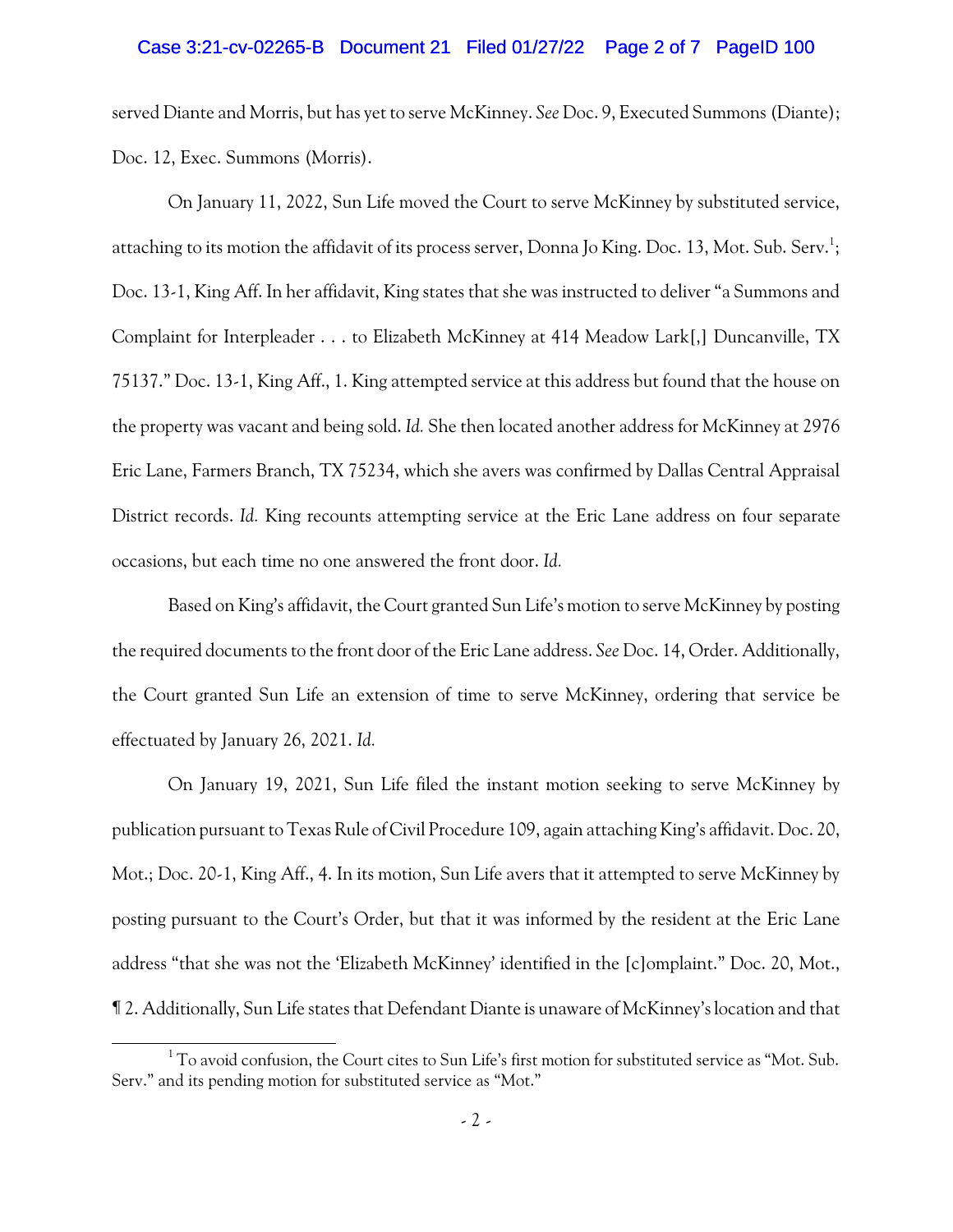### Case 3:21-cv-02265-B Document 21 Filed 01/27/22 Page 2 of 7 PageID 100

served Diante and Morris, but has yet to serve McKinney. *See* Doc. 9, Executed Summons (Diante); Doc. 12, Exec. Summons (Morris).

On January 11, 2022, Sun Life moved the Court to serve McKinney by substituted service, attaching to its motion the affidavit of its process server, Donna Jo King. Doc. 13, Mot. Sub. Serv.<sup>1</sup>; Doc. 13-1, King Aff. In her affidavit, King states that she was instructed to deliver "a Summons and Complaint for Interpleader . . . to Elizabeth McKinney at 414 Meadow Lark[,] Duncanville, TX 75137." Doc. 13-1, King Aff., 1. King attempted service at this address but found that the house on the property was vacant and being sold. *Id.* She then located another address for McKinney at 2976 Eric Lane, Farmers Branch, TX 75234, which she avers was confirmed by Dallas Central Appraisal District records. *Id.* King recounts attempting service at the Eric Lane address on four separate occasions, but each time no one answered the front door. *Id.*

Based on King's affidavit, the Court granted Sun Life's motion to serve McKinney by posting the required documents to the front door of the Eric Lane address. *See* Doc. 14, Order. Additionally, the Court granted Sun Life an extension of time to serve McKinney, ordering that service be effectuated by January 26, 2021. *Id.* 

On January 19, 2021, Sun Life filed the instant motion seeking to serve McKinney by publication pursuant to Texas Rule of Civil Procedure 109, again attaching King's affidavit. Doc. 20, Mot.; Doc. 20-1, King Aff., 4. In its motion, Sun Life avers that it attempted to serve McKinney by posting pursuant to the Court's Order, but that it was informed by the resident at the Eric Lane address "that she was not the 'Elizabeth McKinney' identified in the [c]omplaint." Doc. 20, Mot., ¶ 2. Additionally, Sun Life states that Defendant Diante is unaware of McKinney's location and that

 $1$  To avoid confusion, the Court cites to Sun Life's first motion for substituted service as "Mot. Sub. Serv." and its pending motion for substituted service as "Mot."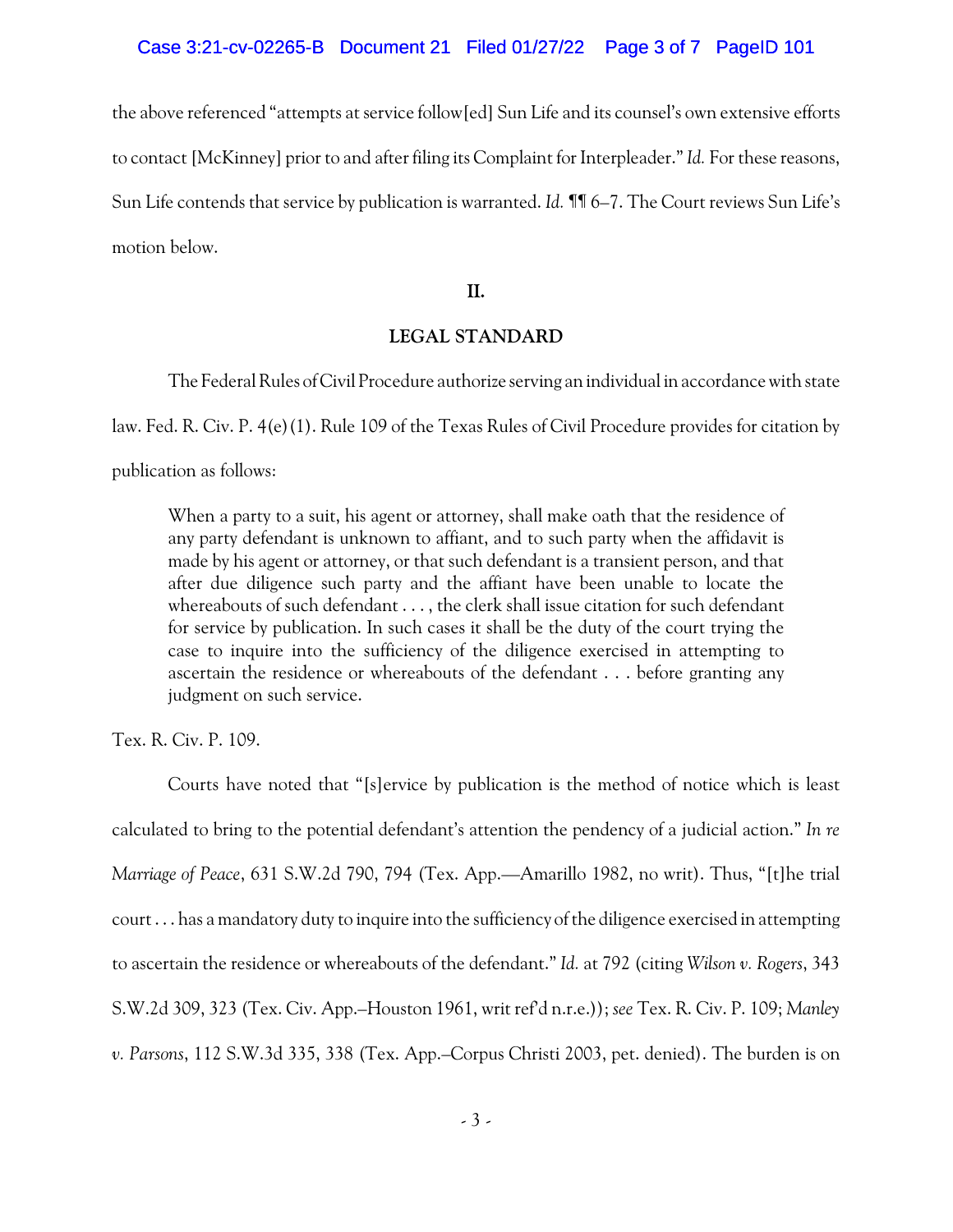the above referenced "attempts at service follow[ed] Sun Life and its counsel's own extensive efforts to contact [McKinney] prior to and after filing its Complaint for Interpleader."*Id.* For these reasons, Sun Life contends that service by publication is warranted. *Id.* ¶¶ 6–7. The Court reviews Sun Life's motion below.

**II.**

# **LEGAL STANDARD**

The Federal Rules of Civil Procedure authorize serving an individual in accordance with state

law. Fed. R. Civ. P. 4(e)(1). Rule 109 of the Texas Rules of Civil Procedure provides for citation by

publication as follows:

When a party to a suit, his agent or attorney, shall make oath that the residence of any party defendant is unknown to affiant, and to such party when the affidavit is made by his agent or attorney, or that such defendant is a transient person, and that after due diligence such party and the affiant have been unable to locate the whereabouts of such defendant . . . , the clerk shall issue citation for such defendant for service by publication. In such cases it shall be the duty of the court trying the case to inquire into the sufficiency of the diligence exercised in attempting to ascertain the residence or whereabouts of the defendant . . . before granting any judgment on such service.

Tex. R. Civ. P. 109.

Courts have noted that "[s]ervice by publication is the method of notice which is least calculated to bring to the potential defendant's attention the pendency of a judicial action." *In re Marriage of Peace*, 631 S.W.2d 790, 794 (Tex. App.—Amarillo 1982, no writ). Thus, "[t]he trial court . . . has a mandatory duty to inquire into the sufficiency of the diligence exercised in attempting to ascertain the residence or whereabouts of the defendant." *Id.* at 792 (citing *Wilson v. Rogers*, 343 S.W.2d 309, 323 (Tex. Civ. App.–Houston 1961, writ ref'd n.r.e.)); *see* Tex. R. Civ. P. 109; *Manley v. Parsons*, 112 S.W.3d 335, 338 (Tex. App.–Corpus Christi 2003, pet. denied). The burden is on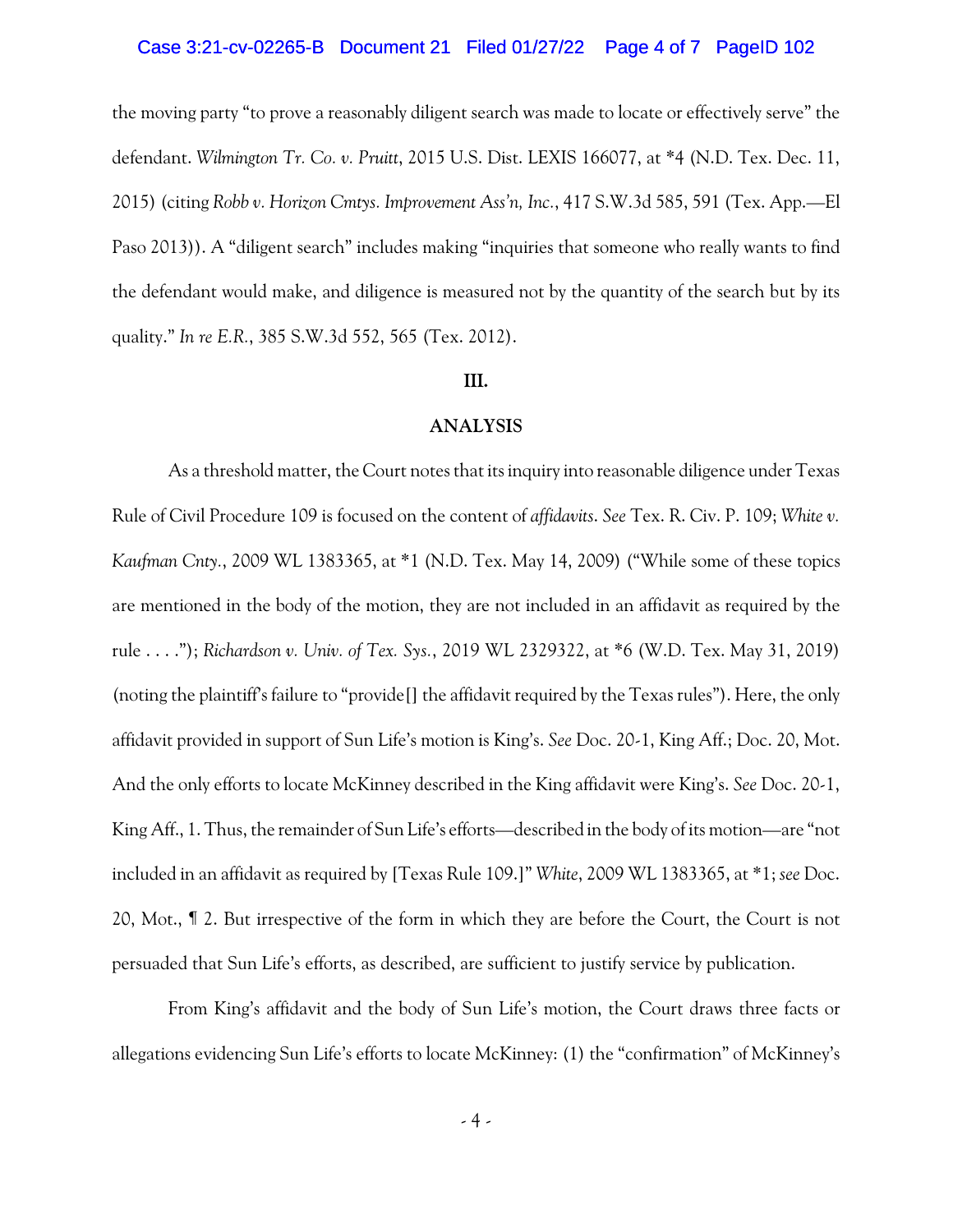### Case 3:21-cv-02265-B Document 21 Filed 01/27/22 Page 4 of 7 PageID 102

the moving party "to prove a reasonably diligent search was made to locate or effectively serve" the defendant. *Wilmington Tr. Co. v. Pruitt*, 2015 U.S. Dist. LEXIS 166077, at \*4 (N.D. Tex. Dec. 11, 2015) (citing *Robb v. Horizon Cmtys. Improvement Ass'n, Inc.*, 417 S.W.3d 585, 591 (Tex. App.—El Paso 2013)). A "diligent search" includes making "inquiries that someone who really wants to find the defendant would make, and diligence is measured not by the quantity of the search but by its quality." *In re E.R.*, 385 S.W.3d 552, 565 (Tex. 2012).

#### **III.**

## **ANALYSIS**

As a threshold matter, the Court notes that its inquiry into reasonable diligence under Texas Rule of Civil Procedure 109 is focused on the content of *affidavits*. *See* Tex. R. Civ. P. 109; *White v. Kaufman Cnty.*, 2009 WL 1383365, at \*1 (N.D. Tex. May 14, 2009) ("While some of these topics are mentioned in the body of the motion, they are not included in an affidavit as required by the rule . . . ."); *Richardson v. Univ. of Tex. Sys.*, 2019 WL 2329322, at \*6 (W.D. Tex. May 31, 2019) (noting the plaintiff's failure to "provide[] the affidavit required by the Texas rules"). Here, the only affidavit provided in support of Sun Life's motion is King's. *See* Doc. 20-1, King Aff.; Doc. 20, Mot. And the only efforts to locate McKinney described in the King affidavit were King's. *See* Doc. 20-1, King Aff., 1. Thus, the remainder of Sun Life's efforts—described in the body of its motion—are "not included in an affidavit as required by [Texas Rule 109.]" *White*, 2009 WL 1383365, at \*1; *see* Doc. 20, Mot., ¶ 2. But irrespective of the form in which they are before the Court, the Court is not persuaded that Sun Life's efforts, as described, are sufficient to justify service by publication.

From King's affidavit and the body of Sun Life's motion, the Court draws three facts or allegations evidencing Sun Life's efforts to locate McKinney: (1) the "confirmation" of McKinney's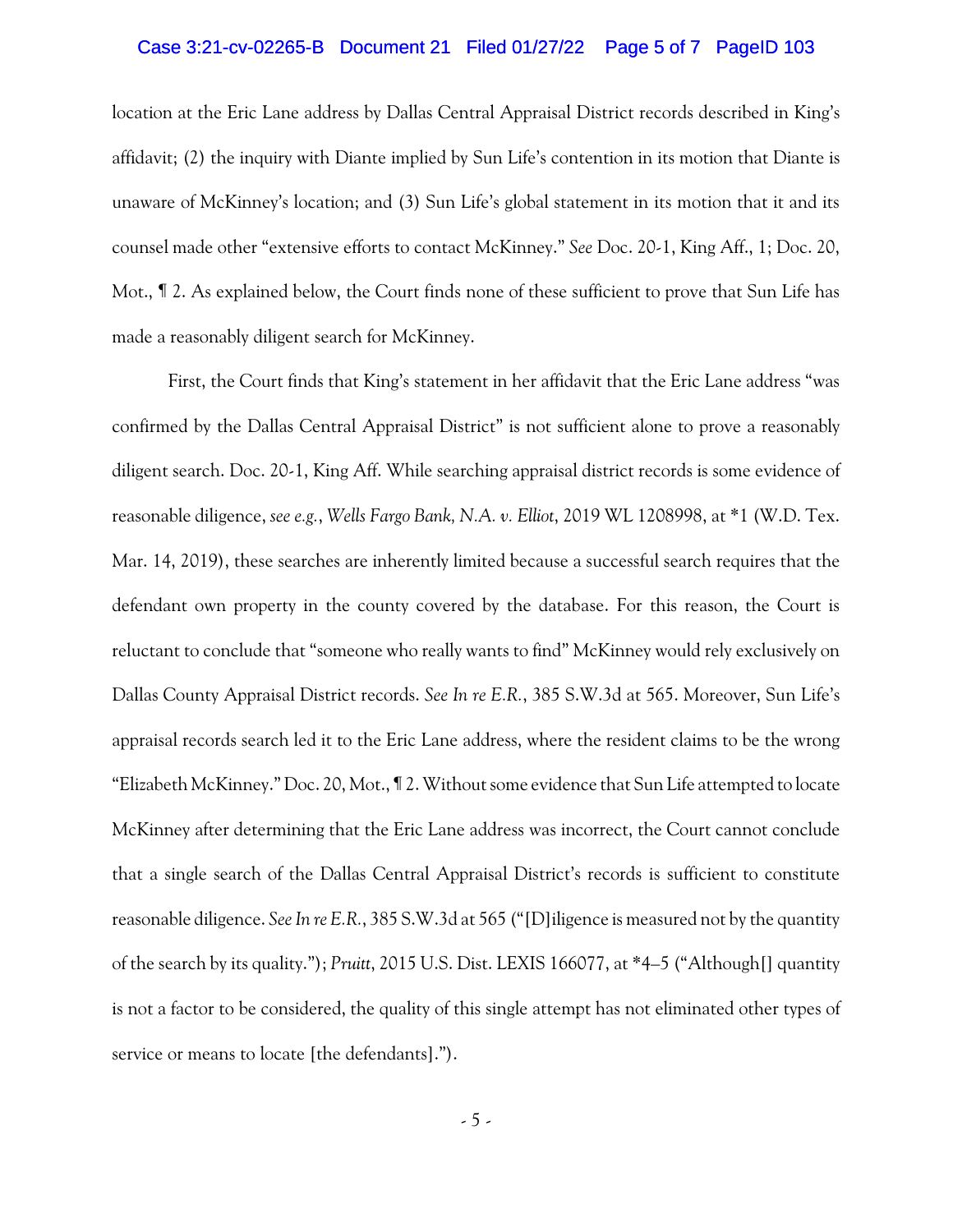### Case 3:21-cv-02265-B Document 21 Filed 01/27/22 Page 5 of 7 PageID 103

location at the Eric Lane address by Dallas Central Appraisal District records described in King's affidavit; (2) the inquiry with Diante implied by Sun Life's contention in its motion that Diante is unaware of McKinney's location; and (3) Sun Life's global statement in its motion that it and its counsel made other "extensive efforts to contact McKinney." *See* Doc. 20-1, King Aff., 1; Doc. 20, Mot., ¶ 2. As explained below, the Court finds none of these sufficient to prove that Sun Life has made a reasonably diligent search for McKinney.

First, the Court finds that King's statement in her affidavit that the Eric Lane address "was confirmed by the Dallas Central Appraisal District" is not sufficient alone to prove a reasonably diligent search. Doc. 20-1, King Aff. While searching appraisal district records is some evidence of reasonable diligence, *see e.g.*, *Wells Fargo Bank, N.A. v. Elliot*, 2019 WL 1208998, at \*1 (W.D. Tex. Mar. 14, 2019), these searches are inherently limited because a successful search requires that the defendant own property in the county covered by the database. For this reason, the Court is reluctant to conclude that "someone who really wants to find" McKinney would rely exclusively on Dallas County Appraisal District records. *See In re E.R.*, 385 S.W.3d at 565. Moreover, Sun Life's appraisal records search led it to the Eric Lane address, where the resident claims to be the wrong "Elizabeth McKinney." Doc. 20, Mot., ¶ 2. Without some evidence that Sun Life attempted to locate McKinney after determining that the Eric Lane address was incorrect, the Court cannot conclude that a single search of the Dallas Central Appraisal District's records is sufficient to constitute reasonable diligence. *See In re E.R.*, 385 S.W.3d at 565 ("[D]iligence is measured not by the quantity of the search by its quality."); *Pruitt*, 2015 U.S. Dist. LEXIS 166077, at \*4–5 ("Although[] quantity is not a factor to be considered, the quality of this single attempt has not eliminated other types of service or means to locate [the defendants].").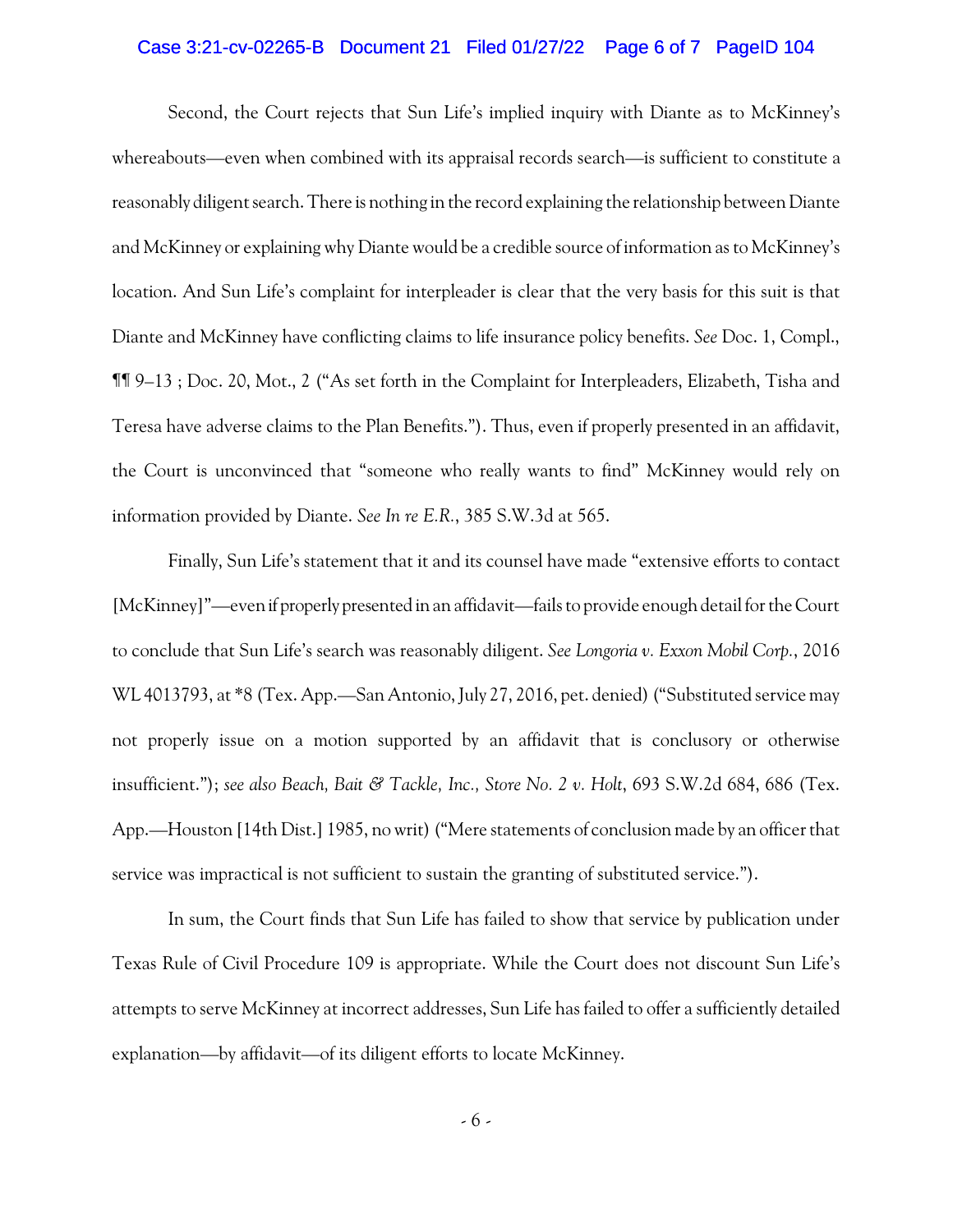### Case 3:21-cv-02265-B Document 21 Filed 01/27/22 Page 6 of 7 PageID 104

Second, the Court rejects that Sun Life's implied inquiry with Diante as to McKinney's whereabouts—even when combined with its appraisal records search—is sufficient to constitute a reasonably diligent search. There is nothing in the record explaining the relationship between Diante and McKinney or explaining why Diante would be a credible source of information as to McKinney's location. And Sun Life's complaint for interpleader is clear that the very basis for this suit is that Diante and McKinney have conflicting claims to life insurance policy benefits. *See* Doc. 1, Compl., ¶¶ 9–13 ; Doc. 20, Mot., 2 ("As set forth in the Complaint for Interpleaders, Elizabeth, Tisha and Teresa have adverse claims to the Plan Benefits."). Thus, even if properly presented in an affidavit, the Court is unconvinced that "someone who really wants to find" McKinney would rely on information provided by Diante. *See In re E.R.*, 385 S.W.3d at 565.

Finally, Sun Life's statement that it and its counsel have made "extensive efforts to contact [McKinney]"—evenif properly presented in an affidavit—fails to provide enough detail for the Court to conclude that Sun Life's search was reasonably diligent. *See Longoria v. Exxon Mobil Corp.*, 2016 WL 4013793, at \*8 (Tex. App.—San Antonio, July 27, 2016, pet. denied) ("Substituted service may not properly issue on a motion supported by an affidavit that is conclusory or otherwise insufficient."); *see also Beach, Bait & Tackle, Inc., Store No. 2 v. Holt*, 693 S.W.2d 684, 686 (Tex. App.—Houston [14th Dist.] 1985, no writ) ("Mere statements of conclusion made by an officer that service was impractical is not sufficient to sustain the granting of substituted service.").

In sum, the Court finds that Sun Life has failed to show that service by publication under Texas Rule of Civil Procedure 109 is appropriate. While the Court does not discount Sun Life's attempts to serve McKinney at incorrect addresses, Sun Life has failed to offer a sufficiently detailed explanation—by affidavit—of its diligent efforts to locate McKinney.